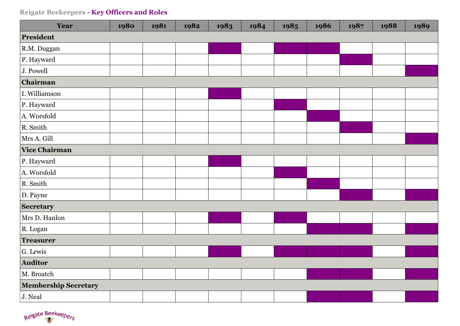| Year                        | 1980 | 1981 | 1982 | 1983 | 1984 | 1985 | 1986 | 1987 | 1988 | 1989 |
|-----------------------------|------|------|------|------|------|------|------|------|------|------|
| President                   |      |      |      |      |      |      |      |      |      |      |
| R.M. Duggan                 |      |      |      |      |      |      |      |      |      |      |
| P. Hayward                  |      |      |      |      |      |      |      |      |      |      |
| J. Powell                   |      |      |      |      |      |      |      |      |      |      |
| Chairman                    |      |      |      |      |      |      |      |      |      |      |
| I. Williamson               |      |      |      |      |      |      |      |      |      |      |
| P. Hayward                  |      |      |      |      |      |      |      |      |      |      |
| A. Worsfold                 |      |      |      |      |      |      |      |      |      |      |
| R. Smith                    |      |      |      |      |      |      |      |      |      |      |
| Mrs A. Gill                 |      |      |      |      |      |      |      |      |      |      |
| <b>Vice Chairman</b>        |      |      |      |      |      |      |      |      |      |      |
| P. Hayward                  |      |      |      |      |      |      |      |      |      |      |
| A. Worsfold                 |      |      |      |      |      |      |      |      |      |      |
| R. Smith                    |      |      |      |      |      |      |      |      |      |      |
| D. Payne                    |      |      |      |      |      |      |      |      |      |      |
| Secretary                   |      |      |      |      |      |      |      |      |      |      |
| Mrs D. Hanlon               |      |      |      |      |      |      |      |      |      |      |
| R. Logan                    |      |      |      |      |      |      |      |      |      |      |
| <b>Treasurer</b>            |      |      |      |      |      |      |      |      |      |      |
| G. Lewis                    |      |      |      |      |      |      |      |      |      |      |
| Auditor                     |      |      |      |      |      |      |      |      |      |      |
| M. Broatch                  |      |      |      |      |      |      |      |      |      |      |
| <b>Membership Secretary</b> |      |      |      |      |      |      |      |      |      |      |
| J. Neal                     |      |      |      |      |      |      |      |      |      |      |

Reigate Beekeepers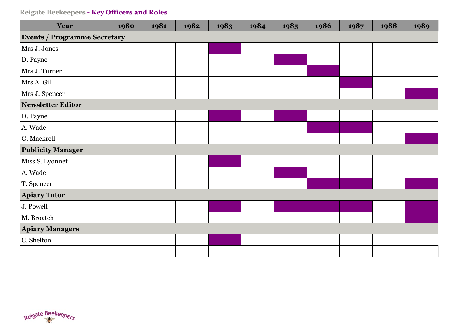| Year                                | 1980 | 1981 | 1982 | 1983 | 1984 | 1985 | 1986 | 1987 | 1988 | 1989 |  |  |
|-------------------------------------|------|------|------|------|------|------|------|------|------|------|--|--|
| <b>Events / Programme Secretary</b> |      |      |      |      |      |      |      |      |      |      |  |  |
| Mrs J. Jones                        |      |      |      |      |      |      |      |      |      |      |  |  |
| D. Payne                            |      |      |      |      |      |      |      |      |      |      |  |  |
| Mrs J. Turner                       |      |      |      |      |      |      |      |      |      |      |  |  |
| Mrs A. Gill                         |      |      |      |      |      |      |      |      |      |      |  |  |
| Mrs J. Spencer                      |      |      |      |      |      |      |      |      |      |      |  |  |
| <b>Newsletter Editor</b>            |      |      |      |      |      |      |      |      |      |      |  |  |
| D. Payne                            |      |      |      |      |      |      |      |      |      |      |  |  |
| A. Wade                             |      |      |      |      |      |      |      |      |      |      |  |  |
| G. Mackrell                         |      |      |      |      |      |      |      |      |      |      |  |  |
| <b>Publicity Manager</b>            |      |      |      |      |      |      |      |      |      |      |  |  |
| Miss S. Lyonnet                     |      |      |      |      |      |      |      |      |      |      |  |  |
| A. Wade                             |      |      |      |      |      |      |      |      |      |      |  |  |
| T. Spencer                          |      |      |      |      |      |      |      |      |      |      |  |  |
| <b>Apiary Tutor</b>                 |      |      |      |      |      |      |      |      |      |      |  |  |
| J. Powell                           |      |      |      |      |      |      |      |      |      |      |  |  |
| M. Broatch                          |      |      |      |      |      |      |      |      |      |      |  |  |
| <b>Apiary Managers</b>              |      |      |      |      |      |      |      |      |      |      |  |  |
| C. Shelton                          |      |      |      |      |      |      |      |      |      |      |  |  |
|                                     |      |      |      |      |      |      |      |      |      |      |  |  |

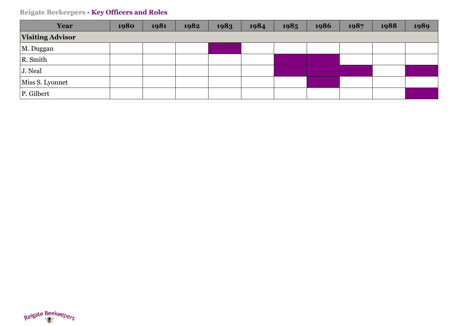| Year                    | 1980 | 1981 | 1982 | 1983 | 1984 | 1985 | 1986 | 1987 | 1988 | 1989 |
|-------------------------|------|------|------|------|------|------|------|------|------|------|
| <b>Visiting Advisor</b> |      |      |      |      |      |      |      |      |      |      |
| M. Duggan               |      |      |      |      |      |      |      |      |      |      |
| R. Smith                |      |      |      |      |      |      |      |      |      |      |
| J. Neal                 |      |      |      |      |      |      |      |      |      |      |
| Miss S. Lyonnet         |      |      |      |      |      |      |      |      |      |      |
| P. Gilbert              |      |      |      |      |      |      |      |      |      |      |

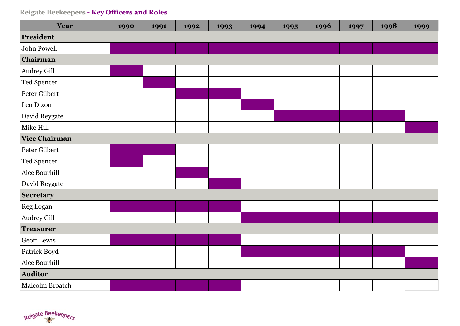| Year                 | 1990 | 1991 | 1992 | 1993 | 1994 | 1995 | 1996 | 1997 | 1998 | 1999 |
|----------------------|------|------|------|------|------|------|------|------|------|------|
| President            |      |      |      |      |      |      |      |      |      |      |
| John Powell          |      |      |      |      |      |      |      |      |      |      |
| Chairman             |      |      |      |      |      |      |      |      |      |      |
| Audrey Gill          |      |      |      |      |      |      |      |      |      |      |
| Ted Spencer          |      |      |      |      |      |      |      |      |      |      |
| Peter Gilbert        |      |      |      |      |      |      |      |      |      |      |
| Len Dixon            |      |      |      |      |      |      |      |      |      |      |
| David Reygate        |      |      |      |      |      |      |      |      |      |      |
| Mike Hill            |      |      |      |      |      |      |      |      |      |      |
| <b>Vice Chairman</b> |      |      |      |      |      |      |      |      |      |      |
| Peter Gilbert        |      |      |      |      |      |      |      |      |      |      |
| Ted Spencer          |      |      |      |      |      |      |      |      |      |      |
| Alec Bourhill        |      |      |      |      |      |      |      |      |      |      |
| David Reygate        |      |      |      |      |      |      |      |      |      |      |
| Secretary            |      |      |      |      |      |      |      |      |      |      |
| Reg Logan            |      |      |      |      |      |      |      |      |      |      |
| Audrey Gill          |      |      |      |      |      |      |      |      |      |      |
| <b>Treasurer</b>     |      |      |      |      |      |      |      |      |      |      |
| Geoff Lewis          |      |      |      |      |      |      |      |      |      |      |
| Patrick Boyd         |      |      |      |      |      |      |      |      |      |      |
| Alec Bourhill        |      |      |      |      |      |      |      |      |      |      |
| Auditor              |      |      |      |      |      |      |      |      |      |      |
| Malcolm Broatch      |      |      |      |      |      |      |      |      |      |      |

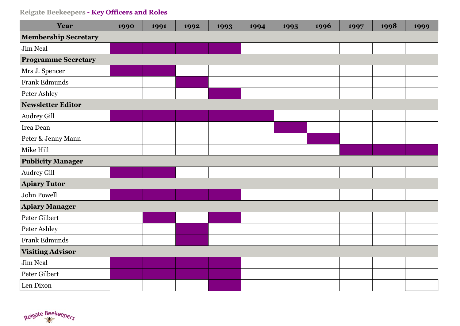| Year                        | 1990 | 1991 | 1992 | 1993 | 1994 | 1995 | 1996 | 1997 | 1998 | 1999 |  |
|-----------------------------|------|------|------|------|------|------|------|------|------|------|--|
| <b>Membership Secretary</b> |      |      |      |      |      |      |      |      |      |      |  |
| Jim Neal                    |      |      |      |      |      |      |      |      |      |      |  |
| <b>Programme Secretary</b>  |      |      |      |      |      |      |      |      |      |      |  |
| Mrs J. Spencer              |      |      |      |      |      |      |      |      |      |      |  |
| Frank Edmunds               |      |      |      |      |      |      |      |      |      |      |  |
| Peter Ashley                |      |      |      |      |      |      |      |      |      |      |  |
| Newsletter Editor           |      |      |      |      |      |      |      |      |      |      |  |
| Audrey Gill                 |      |      |      |      |      |      |      |      |      |      |  |
| Irea Dean                   |      |      |      |      |      |      |      |      |      |      |  |
| Peter & Jenny Mann          |      |      |      |      |      |      |      |      |      |      |  |
| Mike Hill                   |      |      |      |      |      |      |      |      |      |      |  |
| <b>Publicity Manager</b>    |      |      |      |      |      |      |      |      |      |      |  |
| <b>Audrey Gill</b>          |      |      |      |      |      |      |      |      |      |      |  |
| <b>Apiary Tutor</b>         |      |      |      |      |      |      |      |      |      |      |  |
| John Powell                 |      |      |      |      |      |      |      |      |      |      |  |
| <b>Apiary Manager</b>       |      |      |      |      |      |      |      |      |      |      |  |
| Peter Gilbert               |      |      |      |      |      |      |      |      |      |      |  |
| Peter Ashley                |      |      |      |      |      |      |      |      |      |      |  |
| Frank Edmunds               |      |      |      |      |      |      |      |      |      |      |  |
| <b>Visiting Advisor</b>     |      |      |      |      |      |      |      |      |      |      |  |
| Jim Neal                    |      |      |      |      |      |      |      |      |      |      |  |
| Peter Gilbert               |      |      |      |      |      |      |      |      |      |      |  |
| Len Dixon                   |      |      |      |      |      |      |      |      |      |      |  |

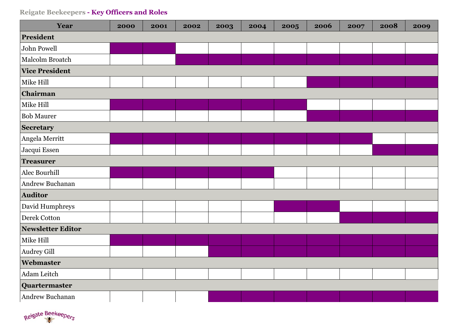| Year                  | 2000 | 2001 | 2002 | 2003 | 2004 | 2005 | 2006 | 2007 | 2008 | 2009 |
|-----------------------|------|------|------|------|------|------|------|------|------|------|
| President             |      |      |      |      |      |      |      |      |      |      |
| John Powell           |      |      |      |      |      |      |      |      |      |      |
| Malcolm Broatch       |      |      |      |      |      |      |      |      |      |      |
| <b>Vice President</b> |      |      |      |      |      |      |      |      |      |      |
| Mike Hill             |      |      |      |      |      |      |      |      |      |      |
| Chairman              |      |      |      |      |      |      |      |      |      |      |
| Mike Hill             |      |      |      |      |      |      |      |      |      |      |
| <b>Bob Maurer</b>     |      |      |      |      |      |      |      |      |      |      |
| <b>Secretary</b>      |      |      |      |      |      |      |      |      |      |      |
| Angela Merritt        |      |      |      |      |      |      |      |      |      |      |
| Jacqui Essen          |      |      |      |      |      |      |      |      |      |      |
| <b>Treasurer</b>      |      |      |      |      |      |      |      |      |      |      |
| Alec Bourhill         |      |      |      |      |      |      |      |      |      |      |
| Andrew Buchanan       |      |      |      |      |      |      |      |      |      |      |
| <b>Auditor</b>        |      |      |      |      |      |      |      |      |      |      |
| David Humphreys       |      |      |      |      |      |      |      |      |      |      |
| Derek Cotton          |      |      |      |      |      |      |      |      |      |      |
| Newsletter Editor     |      |      |      |      |      |      |      |      |      |      |
| Mike Hill             |      |      |      |      |      |      |      |      |      |      |
| <b>Audrey Gill</b>    |      |      |      |      |      |      |      |      |      |      |
| Webmaster             |      |      |      |      |      |      |      |      |      |      |
| Adam Leitch           |      |      |      |      |      |      |      |      |      |      |
| Quartermaster         |      |      |      |      |      |      |      |      |      |      |
| Andrew Buchanan       |      |      |      |      |      |      |      |      |      |      |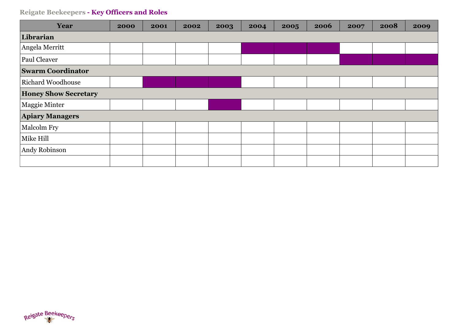| Year                        | 2000 | 2001 | 2002 | 2003 | 2004 | 2005 | 2006 | 2007 | 2008 | 2009 |
|-----------------------------|------|------|------|------|------|------|------|------|------|------|
| Librarian                   |      |      |      |      |      |      |      |      |      |      |
| Angela Merritt              |      |      |      |      |      |      |      |      |      |      |
| Paul Cleaver                |      |      |      |      |      |      |      |      |      |      |
| <b>Swarm Coordinator</b>    |      |      |      |      |      |      |      |      |      |      |
| <b>Richard Woodhouse</b>    |      |      |      |      |      |      |      |      |      |      |
| <b>Honey Show Secretary</b> |      |      |      |      |      |      |      |      |      |      |
| Maggie Minter               |      |      |      |      |      |      |      |      |      |      |
| <b>Apiary Managers</b>      |      |      |      |      |      |      |      |      |      |      |
| <b>Malcolm Fry</b>          |      |      |      |      |      |      |      |      |      |      |
| Mike Hill                   |      |      |      |      |      |      |      |      |      |      |
| Andy Robinson               |      |      |      |      |      |      |      |      |      |      |
|                             |      |      |      |      |      |      |      |      |      |      |

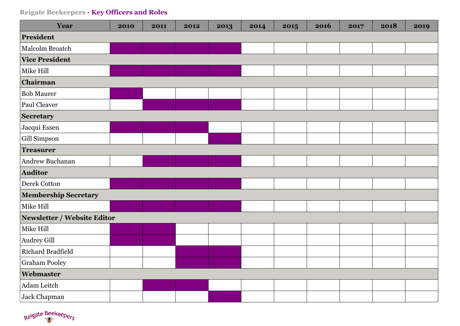| Year                        | 2010 | 2011 | 2012 | 2013 | 2014 | 2015 | 2016 | 2017 | 2018 | 2019 |
|-----------------------------|------|------|------|------|------|------|------|------|------|------|
| President                   |      |      |      |      |      |      |      |      |      |      |
| Malcolm Broatch             |      |      |      |      |      |      |      |      |      |      |
| <b>Vice President</b>       |      |      |      |      |      |      |      |      |      |      |
| Mike Hill                   |      |      |      |      |      |      |      |      |      |      |
| Chairman                    |      |      |      |      |      |      |      |      |      |      |
| <b>Bob Maurer</b>           |      |      |      |      |      |      |      |      |      |      |
| Paul Cleaver                |      |      |      |      |      |      |      |      |      |      |
| <b>Secretary</b>            |      |      |      |      |      |      |      |      |      |      |
| Jacqui Essen                |      |      |      |      |      |      |      |      |      |      |
| Gill Simpson                |      |      |      |      |      |      |      |      |      |      |
| <b>Treasurer</b>            |      |      |      |      |      |      |      |      |      |      |
| Andrew Buchanan             |      |      |      |      |      |      |      |      |      |      |
| Auditor                     |      |      |      |      |      |      |      |      |      |      |
| Derek Cotton                |      |      |      |      |      |      |      |      |      |      |
| <b>Membership Secretary</b> |      |      |      |      |      |      |      |      |      |      |
| Mike Hill                   |      |      |      |      |      |      |      |      |      |      |
| Newsletter / Website Editor |      |      |      |      |      |      |      |      |      |      |
| Mike Hill                   |      |      |      |      |      |      |      |      |      |      |
| <b>Audrey Gill</b>          |      |      |      |      |      |      |      |      |      |      |
| Richard Bradfield           |      |      |      |      |      |      |      |      |      |      |
| <b>Graham Pooley</b>        |      |      |      |      |      |      |      |      |      |      |
| Webmaster                   |      |      |      |      |      |      |      |      |      |      |
| Adam Leitch                 |      |      |      |      |      |      |      |      |      |      |
| Jack Chapman                |      |      |      |      |      |      |      |      |      |      |